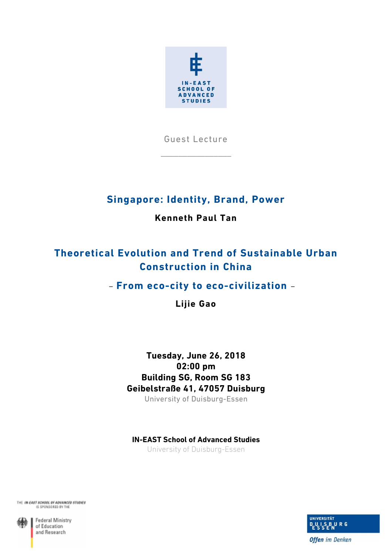

Guest Lecture

\_\_\_\_\_\_\_\_\_\_\_\_\_\_\_\_

## **Singapore: Identity, Brand, Power**

### **Kenneth Paul Tan**

# **Theoretical Evolution and Trend of Sustainable Urban Construction in China**

## – **From eco-city to eco-civilization** –

**Lijie Gao** 

## **Tuesday, June 26, 2018 02:00 pm Building SG, Room SG 183 Geibelstraße 41, 47057 Duisburg**

University of Duisburg-Essen

### **IN-EAST School of Advanced Studies**

University of Duisburg-Essen





**Federal Ministry** of Education and Research



**Offen** im Denken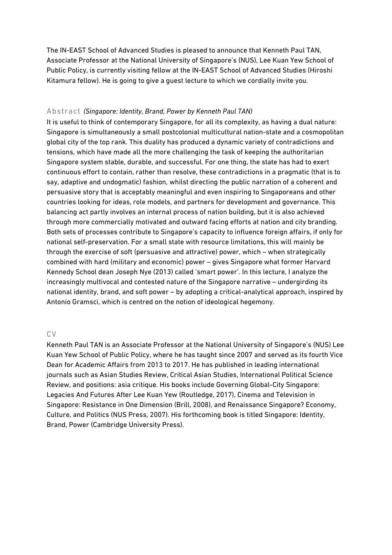The IN-EAST School of Advanced Studies is pleased to announce that Kenneth Paul TAN, Associate Professor at the National University of Singapore's (NUS), Lee Kuan Yew School of Public Policy, is currently visiting fellow at the IN-EAST School of Advanced Studies (Hiroshi Kitamura fellow). He is going to give a guest lecture to which we cordially invite you.

### Abstract *(Singapore: Identity, Brand, Power by Kenneth Paul TAN)*

It is useful to think of contemporary Singapore, for all its complexity, as having a dual nature: Singapore is simultaneously a small postcolonial multicultural nation-state and a cosmopolitan global city of the top rank. This duality has produced a dynamic variety of contradictions and tensions, which have made all the more challenging the task of keeping the authoritarian Singapore system stable, durable, and successful. For one thing, the state has had to exert continuous effort to contain, rather than resolve, these contradictions in a pragmatic (that is to say, adaptive and undogmatic) fashion, whilst directing the public narration of a coherent and persuasive story that is acceptably meaningful and even inspiring to Singaporeans and other countries looking for ideas, role models, and partners for development and governance. This balancing act partly involves an internal process of nation building, but it is also achieved through more commercially motivated and outward facing efforts at nation and city branding. Both sets of processes contribute to Singapore's capacity to influence foreign affairs, if only for national self-preservation. For a small state with resource limitations, this will mainly be through the exercise of soft (persuasive and attractive) power, which – when strategically combined with hard (military and economic) power – gives Singapore what former Harvard Kennedy School dean Joseph Nye (2013) called 'smart power'. In this lecture, I analyze the increasingly multivocal and contested nature of the Singapore narrative – undergirding its national identity, brand, and soft power – by adopting a critical-analytical approach, inspired by Antonio Gramsci, which is centred on the notion of ideological hegemony.

### CV

Kenneth Paul TAN is an Associate Professor at the National University of Singapore's (NUS) Lee Kuan Yew School of Public Policy, where he has taught since 2007 and served as its fourth Vice Dean for Academic Affairs from 2013 to 2017. He has published in leading international journals such as Asian Studies Review, Critical Asian Studies, International Political Science Review, and positions: asia critique. His books include Governing Global-City Singapore: Legacies And Futures After Lee Kuan Yew (Routledge, 2017), Cinema and Television in Singapore: Resistance in One Dimension (Brill, 2008), and Renaissance Singapore? Economy, Culture, and Politics (NUS Press, 2007). His forthcoming book is titled Singapore: Identity, Brand, Power (Cambridge University Press).